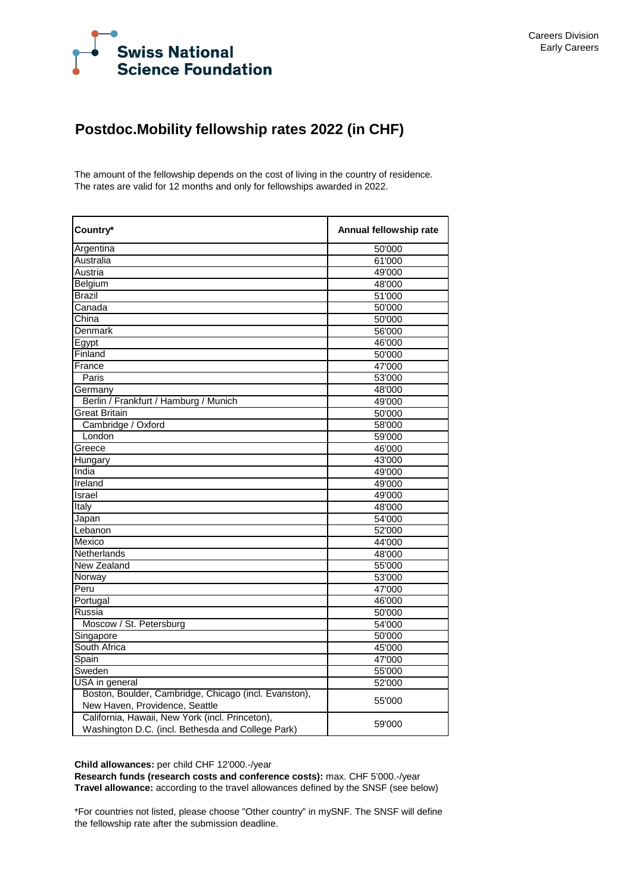

## **Postdoc.Mobility fellowship rates 2022 (in CHF)**

The amount of the fellowship depends on the cost of living in the country of residence. The rates are valid for 12 months and only for fellowships awarded in 2022.

| Country*                                                                          | Annual fellowship rate |  |  |
|-----------------------------------------------------------------------------------|------------------------|--|--|
| Argentina                                                                         | 50'000                 |  |  |
| Australia                                                                         | 61'000                 |  |  |
| Austria                                                                           | 49'000                 |  |  |
| Belgium                                                                           | 48'000                 |  |  |
| <b>Brazil</b>                                                                     | 51'000                 |  |  |
| Canada                                                                            | 50'000                 |  |  |
| China                                                                             | 50'000                 |  |  |
| <b>Denmark</b>                                                                    | 56'000                 |  |  |
| Egypt                                                                             | 46'000                 |  |  |
| Finland                                                                           | 50'000                 |  |  |
| France                                                                            | 47'000                 |  |  |
| Paris                                                                             | 53'000                 |  |  |
| Germany                                                                           | 48'000                 |  |  |
| Berlin / Frankfurt / Hamburg / Munich                                             | 49'000                 |  |  |
| <b>Great Britain</b>                                                              | 50'000                 |  |  |
| Cambridge / Oxford                                                                | 58'000                 |  |  |
| London                                                                            | 59'000                 |  |  |
| Greece                                                                            | 46'000                 |  |  |
| Hungary                                                                           | 43'000                 |  |  |
| India                                                                             | 49'000                 |  |  |
| Ireland                                                                           | 49'000                 |  |  |
| Israel                                                                            | 49'000                 |  |  |
| Italy                                                                             | 48'000                 |  |  |
| Japan                                                                             | 54'000                 |  |  |
| Lebanon                                                                           | 52'000                 |  |  |
| Mexico                                                                            | 44'000                 |  |  |
| Netherlands                                                                       | 48'000                 |  |  |
| New Zealand                                                                       | 55'000                 |  |  |
| Norway                                                                            | 53'000                 |  |  |
| Peru                                                                              | 47'000                 |  |  |
| Portugal                                                                          | 46'000                 |  |  |
| Russia                                                                            | 50'000                 |  |  |
| Moscow / St. Petersburg                                                           | 54'000                 |  |  |
| Singapore                                                                         | 50'000                 |  |  |
| South Africa                                                                      | 45'000                 |  |  |
| Spain                                                                             | 47'000                 |  |  |
| Sweden                                                                            | 55'000                 |  |  |
| USA in general                                                                    | 52'000                 |  |  |
| Boston, Boulder, Cambridge, Chicago (incl. Evanston),                             | 55'000                 |  |  |
| New Haven, Providence, Seattle<br>California, Hawaii, New York (incl. Princeton), |                        |  |  |
| Washington D.C. (incl. Bethesda and College Park)                                 | 59'000                 |  |  |

**Child allowances:** per child CHF 12'000.-/year

**Research funds (research costs and conference costs):** max. CHF 5'000.-/year **Travel allowance:** according to the travel allowances defined by the SNSF (see below)

\*For countries not listed, please choose "Other country" in mySNF. The SNSF will define the fellowship rate after the submission deadline.